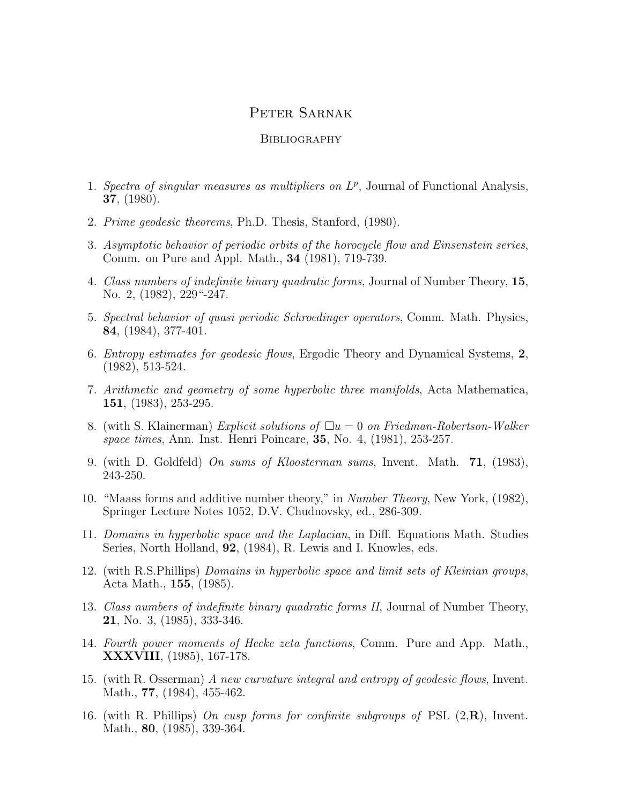## Peter Sarnak

## **BIBLIOGRAPHY**

- 1. Spectra of singular measures as multipliers on  $L^p$ , Journal of Functional Analysis, 37, (1980).
- 2. Prime geodesic theorems, Ph.D. Thesis, Stanford, (1980).
- 3. Asymptotic behavior of periodic orbits of the horocycle flow and Einsenstein series, Comm. on Pure and Appl. Math., 34 (1981), 719-739.
- 4. Class numbers of indefinite binary quadratic forms, Journal of Number Theory, 15, No. 2, (1982), 229<sup>"</sup>-247.
- 5. Spectral behavior of quasi periodic Schroedinger operators, Comm. Math. Physics, 84, (1984), 377-401.
- 6. Entropy estimates for geodesic flows, Ergodic Theory and Dynamical Systems, 2, (1982), 513-524.
- 7. Arithmetic and geometry of some hyperbolic three manifolds, Acta Mathematica, 151, (1983), 253-295.
- 8. (with S. Klainerman) Explicit solutions of  $\Box u = 0$  on Friedman-Robertson-Walker space times, Ann. Inst. Henri Poincare, 35, No. 4, (1981), 253-257.
- 9. (with D. Goldfeld) On sums of Kloosterman sums, Invent. Math.  $71$ , (1983), 243-250.
- 10. "Maass forms and additive number theory," in Number Theory, New York, (1982), Springer Lecture Notes 1052, D.V. Chudnovsky, ed., 286-309.
- 11. Domains in hyperbolic space and the Laplacian, in Diff. Equations Math. Studies Series, North Holland, 92, (1984), R. Lewis and I. Knowles, eds.
- 12. (with R.S.Phillips) Domains in hyperbolic space and limit sets of Kleinian groups, Acta Math., 155, (1985).
- 13. Class numbers of indefinite binary quadratic forms II, Journal of Number Theory, 21, No. 3, (1985), 333-346.
- 14. Fourth power moments of Hecke zeta functions, Comm. Pure and App. Math., XXXVIII, (1985), 167-178.
- 15. (with R. Osserman) A new curvature integral and entropy of geodesic flows, Invent. Math., **77**, (1984), 455-462.
- 16. (with R. Phillips) On cusp forms for confinite subgroups of PSL  $(2,\mathbf{R})$ , Invent. Math., 80, (1985), 339-364.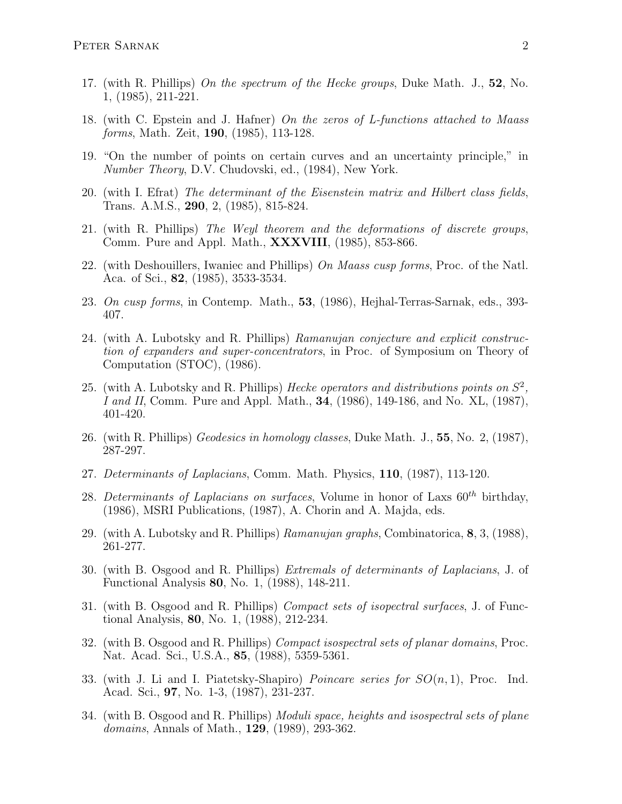- 17. (with R. Phillips) On the spectrum of the Hecke groups, Duke Math. J., 52, No. 1, (1985), 211-221.
- 18. (with C. Epstein and J. Hafner) On the zeros of L-functions attached to Maass forms, Math. Zeit, 190, (1985), 113-128.
- 19. "On the number of points on certain curves and an uncertainty principle," in Number Theory, D.V. Chudovski, ed., (1984), New York.
- 20. (with I. Efrat) The determinant of the Eisenstein matrix and Hilbert class fields, Trans. A.M.S., 290, 2, (1985), 815-824.
- 21. (with R. Phillips) The Weyl theorem and the deformations of discrete groups, Comm. Pure and Appl. Math., XXXVIII, (1985), 853-866.
- 22. (with Deshouillers, Iwaniec and Phillips) On Maass cusp forms, Proc. of the Natl. Aca. of Sci., 82, (1985), 3533-3534.
- 23. On cusp forms, in Contemp. Math., 53, (1986), Hejhal-Terras-Sarnak, eds., 393- 407.
- 24. (with A. Lubotsky and R. Phillips) Ramanujan conjecture and explicit construction of expanders and super-concentrators, in Proc. of Symposium on Theory of Computation (STOC), (1986).
- 25. (with A. Lubotsky and R. Phillips) Hecke operators and distributions points on  $S^2$ , I and II, Comm. Pure and Appl. Math., 34, (1986), 149-186, and No. XL, (1987), 401-420.
- 26. (with R. Phillips) Geodesics in homology classes, Duke Math. J., 55, No. 2, (1987), 287-297.
- 27. Determinants of Laplacians, Comm. Math. Physics, 110, (1987), 113-120.
- 28. Determinants of Laplacians on surfaces, Volume in honor of Laxs  $60^{th}$  birthday, (1986), MSRI Publications, (1987), A. Chorin and A. Majda, eds.
- 29. (with A. Lubotsky and R. Phillips) Ramanujan graphs, Combinatorica, 8, 3, (1988), 261-277.
- 30. (with B. Osgood and R. Phillips) Extremals of determinants of Laplacians, J. of Functional Analysis 80, No. 1, (1988), 148-211.
- 31. (with B. Osgood and R. Phillips) Compact sets of isopectral surfaces, J. of Functional Analysis, 80, No. 1, (1988), 212-234.
- 32. (with B. Osgood and R. Phillips) Compact isospectral sets of planar domains, Proc. Nat. Acad. Sci., U.S.A., 85, (1988), 5359-5361.
- 33. (with J. Li and I. Piatetsky-Shapiro) *Poincare series for*  $SO(n,1)$ , Proc. Ind. Acad. Sci., 97, No. 1-3, (1987), 231-237.
- 34. (with B. Osgood and R. Phillips) Moduli space, heights and isospectral sets of plane domains, Annals of Math., 129, (1989), 293-362.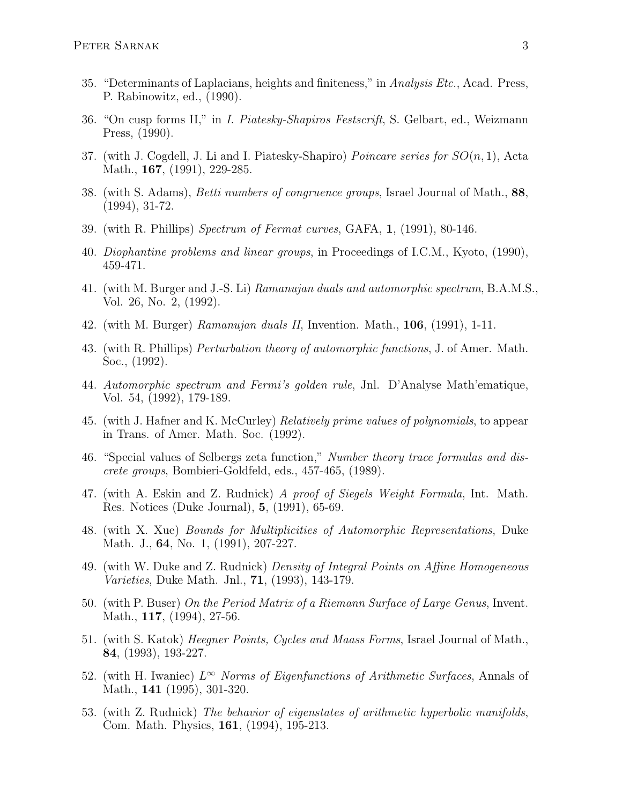- 35. "Determinants of Laplacians, heights and finiteness," in Analysis Etc., Acad. Press, P. Rabinowitz, ed., (1990).
- 36. "On cusp forms II," in I. Piatesky-Shapiros Festscrift, S. Gelbart, ed., Weizmann Press, (1990).
- 37. (with J. Cogdell, J. Li and I. Piatesky-Shapiro) *Poincare series for*  $SO(n,1)$ , Acta Math., **167**, (1991), 229-285.
- 38. (with S. Adams), Betti numbers of congruence groups, Israel Journal of Math., 88, (1994), 31-72.
- 39. (with R. Phillips) Spectrum of Fermat curves, GAFA, 1, (1991), 80-146.
- 40. Diophantine problems and linear groups, in Proceedings of I.C.M., Kyoto, (1990), 459-471.
- 41. (with M. Burger and J.-S. Li) Ramanujan duals and automorphic spectrum, B.A.M.S., Vol. 26, No. 2, (1992).
- 42. (with M. Burger) Ramanujan duals II, Invention. Math.,  $106$ ,  $(1991)$ , 1-11.
- 43. (with R. Phillips) Perturbation theory of automorphic functions, J. of Amer. Math. Soc., (1992).
- 44. Automorphic spectrum and Fermi's golden rule, Jnl. D'Analyse Math'ematique, Vol. 54, (1992), 179-189.
- 45. (with J. Hafner and K. McCurley) Relatively prime values of polynomials, to appear in Trans. of Amer. Math. Soc. (1992).
- 46. "Special values of Selbergs zeta function," Number theory trace formulas and discrete groups, Bombieri-Goldfeld, eds., 457-465, (1989).
- 47. (with A. Eskin and Z. Rudnick) A proof of Siegels Weight Formula, Int. Math. Res. Notices (Duke Journal), 5, (1991), 65-69.
- 48. (with X. Xue) Bounds for Multiplicities of Automorphic Representations, Duke Math. J., **64**, No. 1, (1991), 207-227.
- 49. (with W. Duke and Z. Rudnick) Density of Integral Points on Affine Homogeneous Varieties, Duke Math. Jnl., 71, (1993), 143-179.
- 50. (with P. Buser) On the Period Matrix of a Riemann Surface of Large Genus, Invent. Math., **117**, (1994), 27-56.
- 51. (with S. Katok) Heegner Points, Cycles and Maass Forms, Israel Journal of Math., 84, (1993), 193-227.
- 52. (with H. Iwaniec)  $L^{\infty}$  Norms of Eigenfunctions of Arithmetic Surfaces, Annals of Math., 141 (1995), 301-320.
- 53. (with Z. Rudnick) The behavior of eigenstates of arithmetic hyperbolic manifolds, Com. Math. Physics, 161, (1994), 195-213.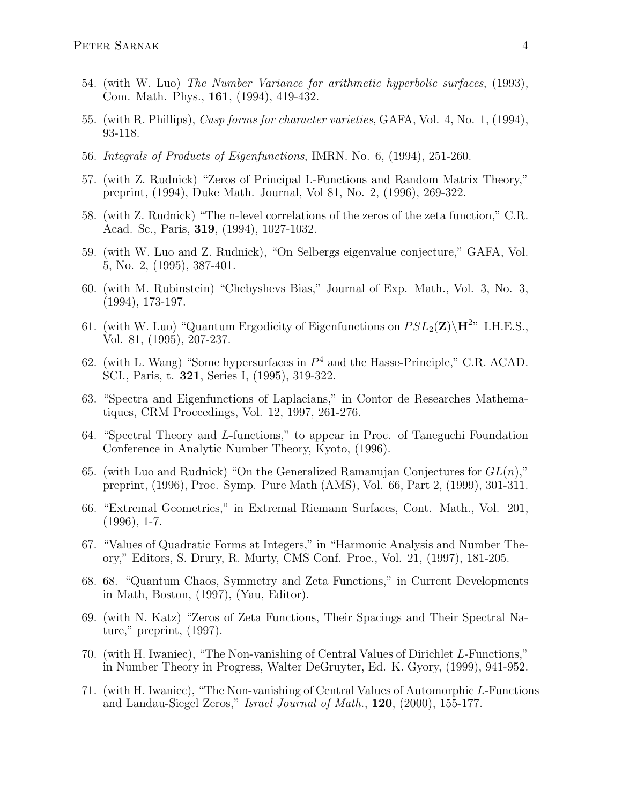- 54. (with W. Luo) The Number Variance for arithmetic hyperbolic surfaces, (1993), Com. Math. Phys., 161, (1994), 419-432.
- 55. (with R. Phillips), Cusp forms for character varieties, GAFA, Vol. 4, No. 1, (1994), 93-118.
- 56. Integrals of Products of Eigenfunctions, IMRN. No. 6, (1994), 251-260.
- 57. (with Z. Rudnick) "Zeros of Principal L-Functions and Random Matrix Theory," preprint, (1994), Duke Math. Journal, Vol 81, No. 2, (1996), 269-322.
- 58. (with Z. Rudnick) "The n-level correlations of the zeros of the zeta function," C.R. Acad. Sc., Paris, 319, (1994), 1027-1032.
- 59. (with W. Luo and Z. Rudnick), "On Selbergs eigenvalue conjecture," GAFA, Vol. 5, No. 2, (1995), 387-401.
- 60. (with M. Rubinstein) "Chebyshevs Bias," Journal of Exp. Math., Vol. 3, No. 3, (1994), 173-197.
- 61. (with W. Luo) "Quantum Ergodicity of Eigenfunctions on  $PSL_2(\mathbf{Z})\backslash\mathbf{H}^{2n}$  I.H.E.S., Vol. 81, (1995), 207-237.
- 62. (with L. Wang) "Some hypersurfaces in  $P<sup>4</sup>$  and the Hasse-Principle," C.R. ACAD. SCI., Paris, t. 321, Series I, (1995), 319-322.
- 63. "Spectra and Eigenfunctions of Laplacians," in Contor de Researches Mathematiques, CRM Proceedings, Vol. 12, 1997, 261-276.
- 64. "Spectral Theory and L-functions," to appear in Proc. of Taneguchi Foundation Conference in Analytic Number Theory, Kyoto, (1996).
- 65. (with Luo and Rudnick) "On the Generalized Ramanujan Conjectures for  $GL(n)$ ," preprint, (1996), Proc. Symp. Pure Math (AMS), Vol. 66, Part 2, (1999), 301-311.
- 66. "Extremal Geometries," in Extremal Riemann Surfaces, Cont. Math., Vol. 201,  $(1996), 1-7.$
- 67. "Values of Quadratic Forms at Integers," in "Harmonic Analysis and Number Theory," Editors, S. Drury, R. Murty, CMS Conf. Proc., Vol. 21, (1997), 181-205.
- 68. 68. "Quantum Chaos, Symmetry and Zeta Functions," in Current Developments in Math, Boston, (1997), (Yau, Editor).
- 69. (with N. Katz) "Zeros of Zeta Functions, Their Spacings and Their Spectral Nature," preprint, (1997).
- 70. (with H. Iwaniec), "The Non-vanishing of Central Values of Dirichlet L-Functions," in Number Theory in Progress, Walter DeGruyter, Ed. K. Gyory, (1999), 941-952.
- 71. (with H. Iwaniec), "The Non-vanishing of Central Values of Automorphic L-Functions and Landau-Siegel Zeros," Israel Journal of Math., 120, (2000), 155-177.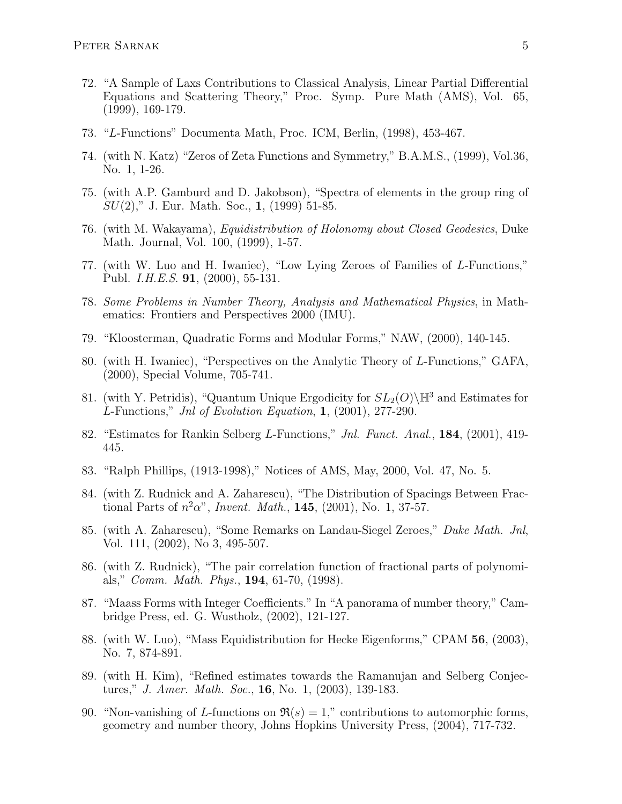- 72. "A Sample of Laxs Contributions to Classical Analysis, Linear Partial Differential Equations and Scattering Theory," Proc. Symp. Pure Math (AMS), Vol. 65, (1999), 169-179.
- 73. "L-Functions" Documenta Math, Proc. ICM, Berlin, (1998), 453-467.
- 74. (with N. Katz) "Zeros of Zeta Functions and Symmetry," B.A.M.S., (1999), Vol.36, No. 1, 1-26.
- 75. (with A.P. Gamburd and D. Jakobson), "Spectra of elements in the group ring of  $SU(2)$ ," J. Eur. Math. Soc., 1, (1999) 51-85.
- 76. (with M. Wakayama), Equidistribution of Holonomy about Closed Geodesics, Duke Math. Journal, Vol. 100, (1999), 1-57.
- 77. (with W. Luo and H. Iwaniec), "Low Lying Zeroes of Families of L-Functions," Publ. I.H.E.S. 91, (2000), 55-131.
- 78. Some Problems in Number Theory, Analysis and Mathematical Physics, in Mathematics: Frontiers and Perspectives 2000 (IMU).
- 79. "Kloosterman, Quadratic Forms and Modular Forms," NAW, (2000), 140-145.
- 80. (with H. Iwaniec), "Perspectives on the Analytic Theory of L-Functions," GAFA, (2000), Special Volume, 705-741.
- 81. (with Y. Petridis), "Quantum Unique Ergodicity for  $SL_2(O)\backslash\mathbb{H}^3$  and Estimates for L-Functions," Jnl of Evolution Equation,  $1, (2001), 277-290.$
- 82. "Estimates for Rankin Selberg L-Functions," Jnl. Funct. Anal., 184, (2001), 419- 445.
- 83. "Ralph Phillips, (1913-1998)," Notices of AMS, May, 2000, Vol. 47, No. 5.
- 84. (with Z. Rudnick and A. Zaharescu), "The Distribution of Spacings Between Fractional Parts of  $n^2\alpha$ ", *Invent. Math.*, **145**, (2001), No. 1, 37-57.
- 85. (with A. Zaharescu), "Some Remarks on Landau-Siegel Zeroes," Duke Math. Jnl, Vol. 111, (2002), No 3, 495-507.
- 86. (with Z. Rudnick), "The pair correlation function of fractional parts of polynomials," Comm. Math. Phys., 194, 61-70, (1998).
- 87. "Maass Forms with Integer Coefficients." In "A panorama of number theory," Cambridge Press, ed. G. Wustholz, (2002), 121-127.
- 88. (with W. Luo), "Mass Equidistribution for Hecke Eigenforms," CPAM 56, (2003), No. 7, 874-891.
- 89. (with H. Kim), "Refined estimates towards the Ramanujan and Selberg Conjectures," J. Amer. Math. Soc., 16, No. 1, (2003), 139-183.
- 90. "Non-vanishing of L-functions on  $\Re(s) = 1$ ," contributions to automorphic forms, geometry and number theory, Johns Hopkins University Press, (2004), 717-732.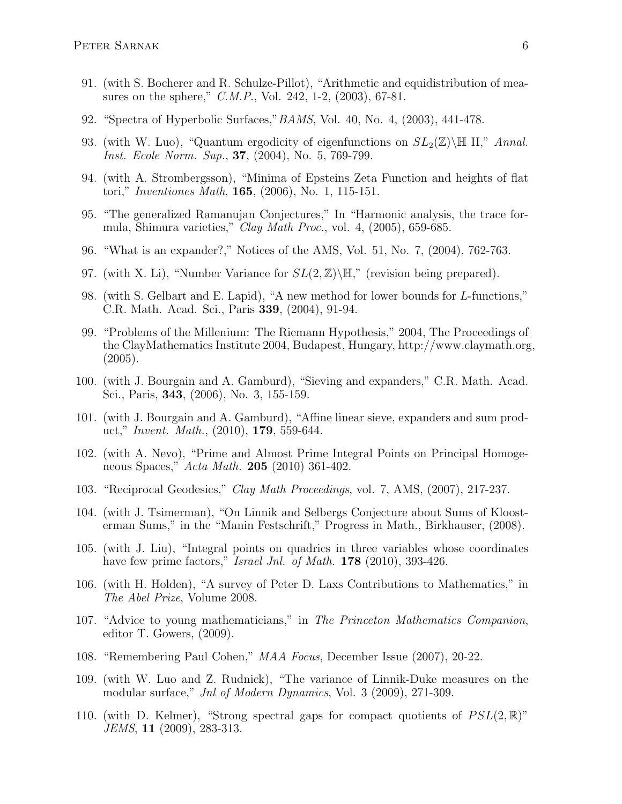- 91. (with S. Bocherer and R. Schulze-Pillot), "Arithmetic and equidistribution of measures on the sphere," C.M.P., Vol. 242, 1-2, (2003), 67-81.
- 92. "Spectra of Hyperbolic Surfaces,"BAMS, Vol. 40, No. 4, (2003), 441-478.
- 93. (with W. Luo), "Quantum ergodicity of eigenfunctions on  $SL_2(\mathbb{Z})\backslash\mathbb{H}$  II," Annal. Inst. Ecole Norm. Sup., **37**, (2004), No. 5, 769-799.
- 94. (with A. Strombergsson), "Minima of Epsteins Zeta Function and heights of flat tori," Inventiones Math, 165, (2006), No. 1, 115-151.
- 95. "The generalized Ramanujan Conjectures," In "Harmonic analysis, the trace formula, Shimura varieties," Clay Math Proc., vol. 4, (2005), 659-685.
- 96. "What is an expander?," Notices of the AMS, Vol. 51, No. 7, (2004), 762-763.
- 97. (with X. Li), "Number Variance for  $SL(2,\mathbb{Z})\backslash\mathbb{H}$ ," (revision being prepared).
- 98. (with S. Gelbart and E. Lapid), "A new method for lower bounds for L-functions," C.R. Math. Acad. Sci., Paris 339, (2004), 91-94.
- 99. "Problems of the Millenium: The Riemann Hypothesis," 2004, The Proceedings of the ClayMathematics Institute 2004, Budapest, Hungary, http://www.claymath.org, (2005).
- 100. (with J. Bourgain and A. Gamburd), "Sieving and expanders," C.R. Math. Acad. Sci., Paris, 343, (2006), No. 3, 155-159.
- 101. (with J. Bourgain and A. Gamburd), "Affine linear sieve, expanders and sum product," Invent. Math., (2010), 179, 559-644.
- 102. (with A. Nevo), "Prime and Almost Prime Integral Points on Principal Homogeneous Spaces," Acta Math. 205 (2010) 361-402.
- 103. "Reciprocal Geodesics," Clay Math Proceedings, vol. 7, AMS, (2007), 217-237.
- 104. (with J. Tsimerman), "On Linnik and Selbergs Conjecture about Sums of Kloosterman Sums," in the "Manin Festschrift," Progress in Math., Birkhauser, (2008).
- 105. (with J. Liu), "Integral points on quadrics in three variables whose coordinates have few prime factors," Israel Jnl. of Math. 178 (2010), 393-426.
- 106. (with H. Holden), "A survey of Peter D. Laxs Contributions to Mathematics," in The Abel Prize, Volume 2008.
- 107. "Advice to young mathematicians," in The Princeton Mathematics Companion, editor T. Gowers, (2009).
- 108. "Remembering Paul Cohen," MAA Focus, December Issue (2007), 20-22.
- 109. (with W. Luo and Z. Rudnick), "The variance of Linnik-Duke measures on the modular surface," Jnl of Modern Dynamics, Vol. 3 (2009), 271-309.
- 110. (with D. Kelmer), "Strong spectral gaps for compact quotients of  $PSL(2,\mathbb{R})$ " JEMS, 11 (2009), 283-313.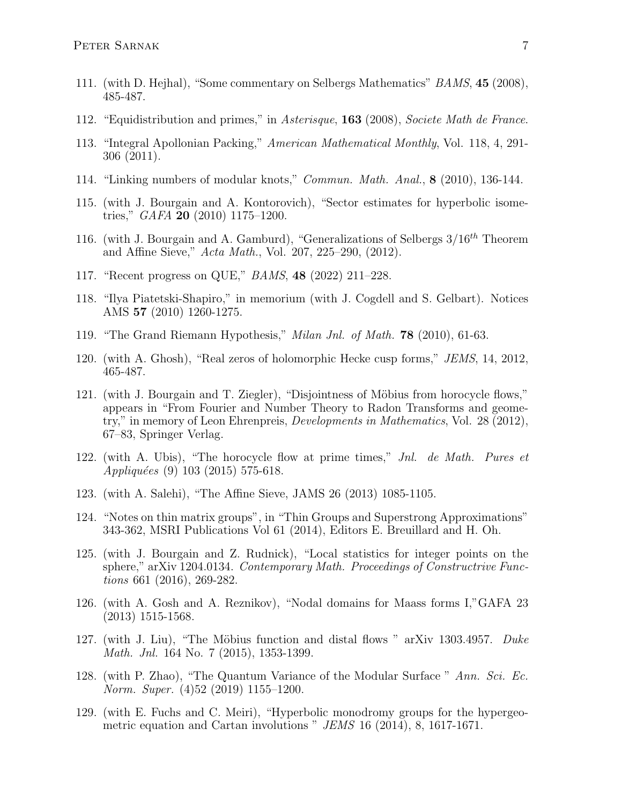- 111. (with D. Hejhal), "Some commentary on Selbergs Mathematics" BAMS, 45 (2008), 485-487.
- 112. "Equidistribution and primes," in Asterisque, 163 (2008), Societe Math de France.
- 113. "Integral Apollonian Packing," American Mathematical Monthly, Vol. 118, 4, 291- 306 (2011).
- 114. "Linking numbers of modular knots," Commun. Math. Anal., 8 (2010), 136-144.
- 115. (with J. Bourgain and A. Kontorovich), "Sector estimates for hyperbolic isometries," GAFA 20 (2010) 1175–1200.
- 116. (with J. Bourgain and A. Gamburd), "Generalizations of Selbergs  $3/16^{th}$  Theorem and Affine Sieve," Acta Math., Vol. 207, 225–290, (2012).
- 117. "Recent progress on QUE," BAMS, 48 (2022) 211–228.
- 118. "Ilya Piatetski-Shapiro," in memorium (with J. Cogdell and S. Gelbart). Notices AMS 57 (2010) 1260-1275.
- 119. "The Grand Riemann Hypothesis," Milan Jnl. of Math. 78 (2010), 61-63.
- 120. (with A. Ghosh), "Real zeros of holomorphic Hecke cusp forms," JEMS, 14, 2012, 465-487.
- 121. (with J. Bourgain and T. Ziegler), "Disjointness of Möbius from horocycle flows," appears in "From Fourier and Number Theory to Radon Transforms and geometry," in memory of Leon Ehrenpreis, Developments in Mathematics, Vol. 28 (2012), 67–83, Springer Verlag.
- 122. (with A. Ubis), "The horocycle flow at prime times," Jnl. de Math. Pures et Appliquées (9) 103 (2015) 575-618.
- 123. (with A. Salehi), "The Affine Sieve, JAMS 26 (2013) 1085-1105.
- 124. "Notes on thin matrix groups", in "Thin Groups and Superstrong Approximations" 343-362, MSRI Publications Vol 61 (2014), Editors E. Breuillard and H. Oh.
- 125. (with J. Bourgain and Z. Rudnick), "Local statistics for integer points on the sphere," arXiv 1204.0134. Contemporary Math. Proceedings of Constructrive Functions 661 (2016), 269-282.
- 126. (with A. Gosh and A. Reznikov), "Nodal domains for Maass forms I,"GAFA 23 (2013) 1515-1568.
- 127. (with J. Liu), "The Möbius function and distal flows " arXiv 1303.4957. Duke Math. Jnl. 164 No. 7 (2015), 1353-1399.
- 128. (with P. Zhao), "The Quantum Variance of the Modular Surface " Ann. Sci. Ec. Norm. Super. (4)52 (2019) 1155–1200.
- 129. (with E. Fuchs and C. Meiri), "Hyperbolic monodromy groups for the hypergeometric equation and Cartan involutions " JEMS 16 (2014), 8, 1617-1671.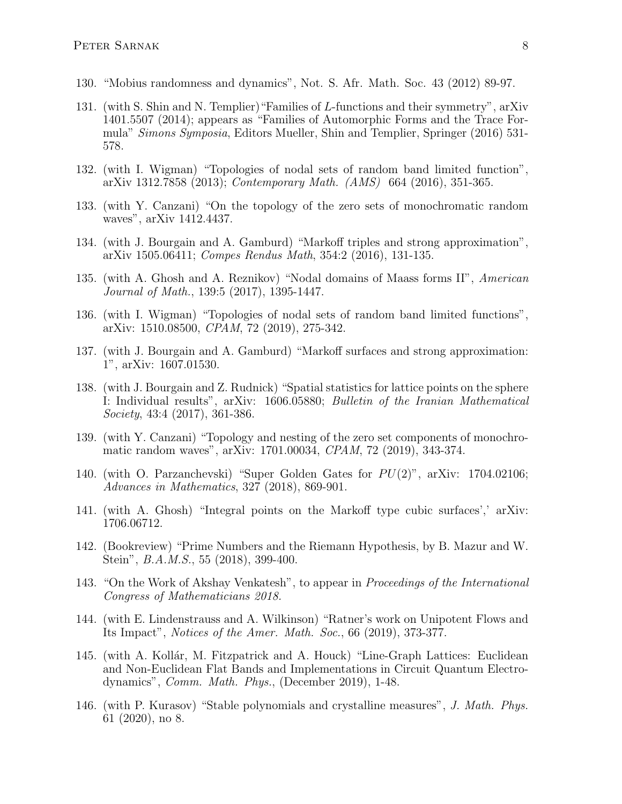- 130. "Mobius randomness and dynamics", Not. S. Afr. Math. Soc. 43 (2012) 89-97.
- 131. (with S. Shin and N. Templier)"Families of L-functions and their symmetry", arXiv 1401.5507 (2014); appears as "Families of Automorphic Forms and the Trace Formula" Simons Symposia, Editors Mueller, Shin and Templier, Springer (2016) 531- 578.
- 132. (with I. Wigman) "Topologies of nodal sets of random band limited function", arXiv 1312.7858 (2013); Contemporary Math. (AMS) 664 (2016), 351-365.
- 133. (with Y. Canzani) "On the topology of the zero sets of monochromatic random waves", arXiv 1412.4437.
- 134. (with J. Bourgain and A. Gamburd) "Markoff triples and strong approximation", arXiv 1505.06411; Compes Rendus Math, 354:2 (2016), 131-135.
- 135. (with A. Ghosh and A. Reznikov) "Nodal domains of Maass forms II", American Journal of Math., 139:5 (2017), 1395-1447.
- 136. (with I. Wigman) "Topologies of nodal sets of random band limited functions", arXiv: 1510.08500, CPAM, 72 (2019), 275-342.
- 137. (with J. Bourgain and A. Gamburd) "Markoff surfaces and strong approximation: 1", arXiv: 1607.01530.
- 138. (with J. Bourgain and Z. Rudnick) "Spatial statistics for lattice points on the sphere I: Individual results", arXiv: 1606.05880; Bulletin of the Iranian Mathematical Society, 43:4 (2017), 361-386.
- 139. (with Y. Canzani) "Topology and nesting of the zero set components of monochromatic random waves", arXiv: 1701.00034, CPAM, 72 (2019), 343-374.
- 140. (with O. Parzanchevski) "Super Golden Gates for  $PU(2)$ ", arXiv: 1704.02106; Advances in Mathematics, 327 (2018), 869-901.
- 141. (with A. Ghosh) "Integral points on the Markoff type cubic surfaces',' arXiv: 1706.06712.
- 142. (Bookreview) "Prime Numbers and the Riemann Hypothesis, by B. Mazur and W. Stein", B.A.M.S., 55 (2018), 399-400.
- 143. "On the Work of Akshay Venkatesh", to appear in Proceedings of the International Congress of Mathematicians 2018.
- 144. (with E. Lindenstrauss and A. Wilkinson) "Ratner's work on Unipotent Flows and Its Impact", Notices of the Amer. Math. Soc., 66 (2019), 373-377.
- 145. (with A. Kollár, M. Fitzpatrick and A. Houck) "Line-Graph Lattices: Euclidean and Non-Euclidean Flat Bands and Implementations in Circuit Quantum Electrodynamics", Comm. Math. Phys., (December 2019), 1-48.
- 146. (with P. Kurasov) "Stable polynomials and crystalline measures", J. Math. Phys. 61 (2020), no 8.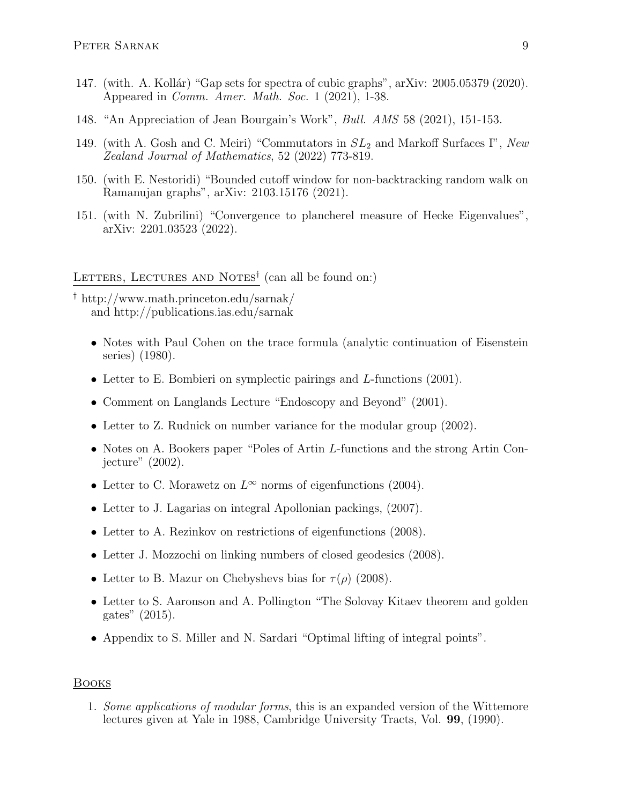- 147. (with. A. Kollár) "Gap sets for spectra of cubic graphs", arXiv: 2005.05379 (2020). Appeared in *Comm. Amer. Math. Soc.* 1  $(2021)$ , 1-38.
- 148. "An Appreciation of Jean Bourgain's Work", Bull. AMS 58 (2021), 151-153.
- 149. (with A. Gosh and C. Meiri) "Commutators in  $SL_2$  and Markoff Surfaces I", New Zealand Journal of Mathematics, 52 (2022) 773-819.
- 150. (with E. Nestoridi) "Bounded cutoff window for non-backtracking random walk on Ramanujan graphs", arXiv: 2103.15176 (2021).
- 151. (with N. Zubrilini) "Convergence to plancherel measure of Hecke Eigenvalues", arXiv: 2201.03523 (2022).

LETTERS, LECTURES AND NOTES<sup>†</sup> (can all be found on:)

- † http://www.math.princeton.edu/sarnak/ and http://publications.ias.edu/sarnak
	- Notes with Paul Cohen on the trace formula (analytic continuation of Eisenstein series) (1980).
	- Letter to E. Bombieri on symplectic pairings and L-functions (2001).
	- Comment on Langlands Lecture "Endoscopy and Beyond" (2001).
	- Letter to Z. Rudnick on number variance for the modular group (2002).
	- Notes on A. Bookers paper "Poles of Artin L-functions and the strong Artin Conjecture" (2002).
	- Letter to C. Morawetz on  $L^{\infty}$  norms of eigenfunctions (2004).
	- Letter to J. Lagarias on integral Apollonian packings, (2007).
	- Letter to A. Rezinkov on restrictions of eigenfunctions (2008).
	- Letter J. Mozzochi on linking numbers of closed geodesics (2008).
	- Letter to B. Mazur on Chebyshevs bias for  $\tau(\rho)$  (2008).
	- Letter to S. Aaronson and A. Pollington "The Solovay Kitaev theorem and golden gates" (2015).
	- Appendix to S. Miller and N. Sardari "Optimal lifting of integral points".

## Books

1. Some applications of modular forms, this is an expanded version of the Wittemore lectures given at Yale in 1988, Cambridge University Tracts, Vol. 99, (1990).